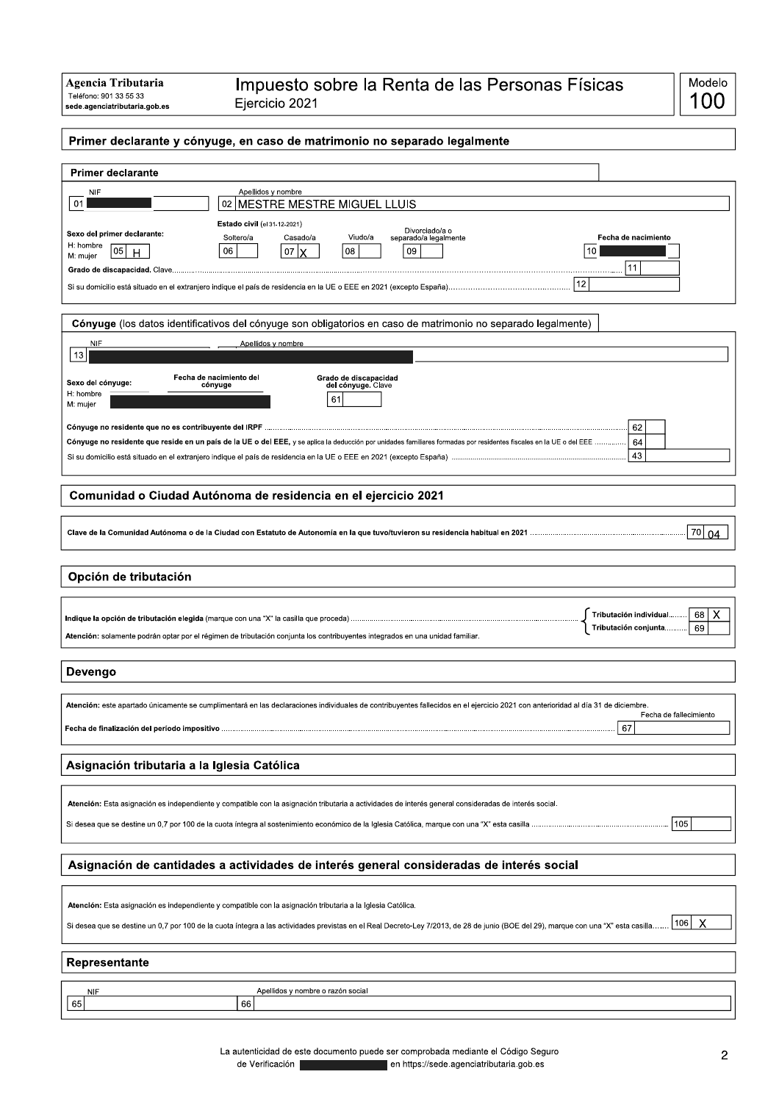## Primer declarante y cónyuge, en caso de matrimonio no separado legalmente

| <b>Primer declarante</b>                                                                                                                                                                        |  |  |  |
|-------------------------------------------------------------------------------------------------------------------------------------------------------------------------------------------------|--|--|--|
| Apellidos y nombre<br><b>NIF</b>                                                                                                                                                                |  |  |  |
| 01<br>MESTRE MESTRE MIGUEL LLUIS<br>02                                                                                                                                                          |  |  |  |
| Estado civil (el 31-12-2021)<br>Divorciado/a o<br>Sexo del primer declarante:                                                                                                                   |  |  |  |
| Viudo/a<br>Soltero/a<br>Casado/a<br>separado/a legalmente<br>Fecha de nacimiento<br>H: hombre<br>05<br>08<br>06<br>09<br>10<br>07<br>M<br>H                                                     |  |  |  |
| M: mujer<br>11                                                                                                                                                                                  |  |  |  |
| 12                                                                                                                                                                                              |  |  |  |
|                                                                                                                                                                                                 |  |  |  |
| Cónyuge (los datos identificativos del cónyuge son obligatorios en caso de matrimonio no separado legalmente)                                                                                   |  |  |  |
| NIF<br>Apellidos y nombre                                                                                                                                                                       |  |  |  |
| 13                                                                                                                                                                                              |  |  |  |
| Fecha de nacimiento del<br>Grado de discapacidad<br>Sexo del cónyuge:<br>cónvuge<br>del cónyuge. Clave                                                                                          |  |  |  |
| H: hombre<br>61<br>M: mujer                                                                                                                                                                     |  |  |  |
|                                                                                                                                                                                                 |  |  |  |
| 62                                                                                                                                                                                              |  |  |  |
| 64<br>Cónyuge no residente que reside en un país de la UE o del EEE, y se aplica la deducción por unidades familiares formadas por residentes fiscales en la UE o del EEE ……………<br>43           |  |  |  |
|                                                                                                                                                                                                 |  |  |  |
| Comunidad o Ciudad Autónoma de residencia en el ejercicio 2021                                                                                                                                  |  |  |  |
|                                                                                                                                                                                                 |  |  |  |
| 70<br>04                                                                                                                                                                                        |  |  |  |
|                                                                                                                                                                                                 |  |  |  |
|                                                                                                                                                                                                 |  |  |  |
| Opción de tributación                                                                                                                                                                           |  |  |  |
|                                                                                                                                                                                                 |  |  |  |
| X<br>68<br>Tributación individual<br>69<br>Tributación conjunta                                                                                                                                 |  |  |  |
| Atención: solamente podrán optar por el régimen de tributación conjunta los contribuyentes integrados en una unidad familiar.                                                                   |  |  |  |
|                                                                                                                                                                                                 |  |  |  |
| Devengo                                                                                                                                                                                         |  |  |  |
| Atención: este apartado únicamente se cumplimentará en las declaraciones individuales de contribuyentes fallecidos en el ejercicio 2021 con anterioridad al día 31 de diciembre.                |  |  |  |
| Fecha de fallecimiento                                                                                                                                                                          |  |  |  |
| 67                                                                                                                                                                                              |  |  |  |
|                                                                                                                                                                                                 |  |  |  |
| Asignación tributaria a la Iglesia Católica                                                                                                                                                     |  |  |  |
|                                                                                                                                                                                                 |  |  |  |
| Atención: Esta asignación es independiente y compatible con la asignación tributaria a actividades de interés general consideradas de interés social.                                           |  |  |  |
| 105                                                                                                                                                                                             |  |  |  |
|                                                                                                                                                                                                 |  |  |  |
| Asignación de cantidades a actividades de interés general consideradas de interés social                                                                                                        |  |  |  |
|                                                                                                                                                                                                 |  |  |  |
| Atención: Esta asignación es independiente y compatible con la asignación tributaria a la Iglesia Católica.                                                                                     |  |  |  |
| 106<br>X<br>Si desea que se destine un 0,7 por 100 de la cuota íntegra a las actividades previstas en el Real Decreto-Ley 7/2013, de 28 de junio (BOE del 29), marque con una "X" esta casilla. |  |  |  |
|                                                                                                                                                                                                 |  |  |  |
| Representante                                                                                                                                                                                   |  |  |  |
|                                                                                                                                                                                                 |  |  |  |
| <b>NIF</b><br>Apellidos y nombre o razón social<br>65<br>66                                                                                                                                     |  |  |  |
|                                                                                                                                                                                                 |  |  |  |

La autenticidad de este documento puede ser comprobada mediante el Código Seguro de Verificación en https://sede.agenciatributaria.gob.es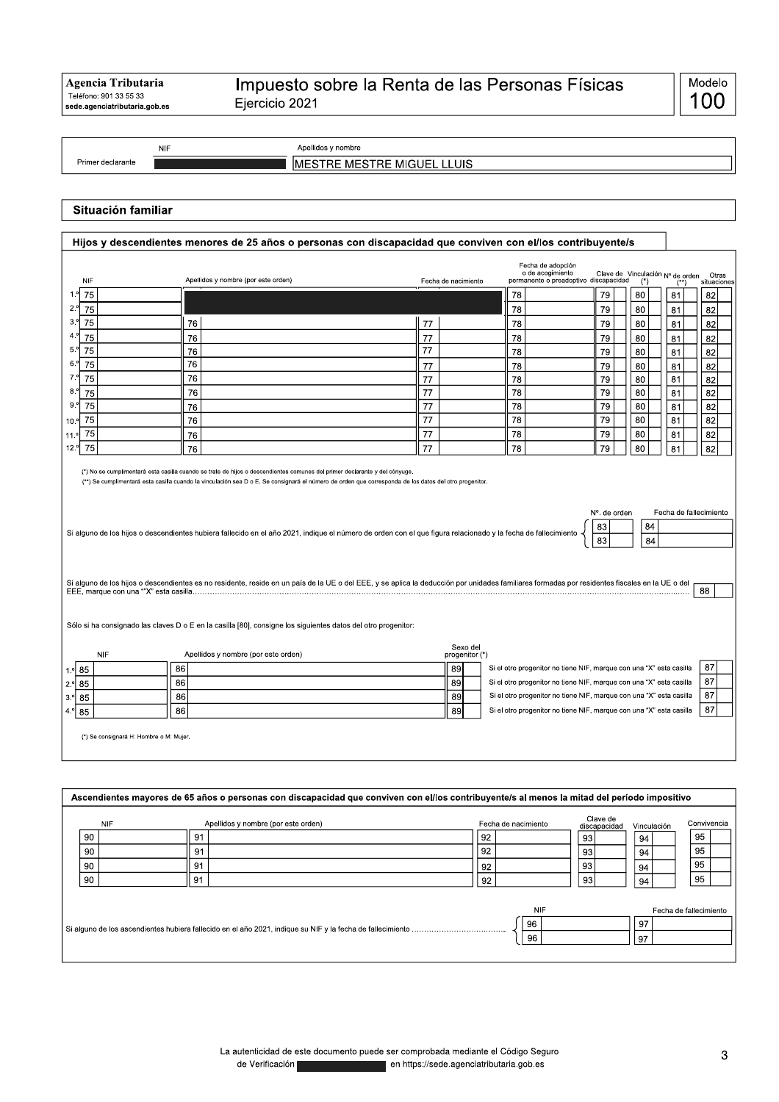|                   | <b>NIF</b> | Apellidos y nombre                             |
|-------------------|------------|------------------------------------------------|
| Primer declarante |            | MIGU<br>IE<br>`RF<br>IME<br>M⊢.<br>--<br>LLUIS |

## Situación familiar

| <b>NIF</b> | Apellidos y nombre (por este orden)                                                                                                                                                            | Fecha de nacimiento        | Fecha de adopción<br>o de acogimiento                                                                                                      | permanente o preadoptivo discapacidad | Clave de Vinculación Nº de orden<br>$($ <sup>*</sup> ) | $($ **) | Otras<br>situaciones |
|------------|------------------------------------------------------------------------------------------------------------------------------------------------------------------------------------------------|----------------------------|--------------------------------------------------------------------------------------------------------------------------------------------|---------------------------------------|--------------------------------------------------------|---------|----------------------|
| 75<br>1.9  |                                                                                                                                                                                                |                            | 78                                                                                                                                         | 79                                    | 80                                                     | 81      | 82                   |
| 75         |                                                                                                                                                                                                |                            | 78                                                                                                                                         | 79                                    | 80                                                     | 81      | 82                   |
| 75         | 76                                                                                                                                                                                             | 77                         | 78                                                                                                                                         | 79                                    | 80                                                     | 81      | 82                   |
| 75         | 76                                                                                                                                                                                             | 77                         | 78                                                                                                                                         | 79                                    | 80                                                     | 81      | 82                   |
| 75         | 76                                                                                                                                                                                             | 77                         | 78                                                                                                                                         | 79                                    | 80                                                     | 81      | 82                   |
| 75         | 76                                                                                                                                                                                             | 77                         | 78                                                                                                                                         | 79                                    | 80                                                     | 81      | 82                   |
| 75         | 76                                                                                                                                                                                             | 77                         | 78                                                                                                                                         | 79                                    | 80                                                     | 81      | 82                   |
| 75         | 76                                                                                                                                                                                             | 77                         | 78                                                                                                                                         | 79                                    | 80                                                     | 81      | 82                   |
| 75         | 76                                                                                                                                                                                             | 77                         | 78                                                                                                                                         | 79                                    | 80                                                     | 81      | 82                   |
| 75         | 76                                                                                                                                                                                             | 77                         | 78                                                                                                                                         | 79                                    | 80                                                     | 81      | 82                   |
| 75         | 76                                                                                                                                                                                             | 77                         | 78                                                                                                                                         | 79                                    | 80                                                     | 81      | 82                   |
| 75         | 76                                                                                                                                                                                             | 77                         | 78                                                                                                                                         | 79                                    | 80                                                     | 81      | 82                   |
|            |                                                                                                                                                                                                |                            |                                                                                                                                            | 83                                    | 84                                                     |         |                      |
|            | Si alguno de los hijos o descendientes es no residente, reside en un país de la UE o del EEE, y se aplica la deducción por unidades familiares formadas por residentes fiscales en la UE o del |                            |                                                                                                                                            |                                       |                                                        |         | 88                   |
| <b>NIF</b> | Sólo si ha consignado las claves D o E en la casilla [80], consigne los siguientes datos del otro progenitor:<br>Apellidos y nombre (por este orden)                                           | Sexo del<br>progenitor (*) |                                                                                                                                            |                                       |                                                        |         |                      |
| 1.º 85     | 86                                                                                                                                                                                             | 89                         | Si el otro progenitor no tiene NIF, marque con una "X" esta casilla                                                                        |                                       |                                                        |         |                      |
| 85         | 86                                                                                                                                                                                             | 89                         | Si el otro progenitor no tiene NIF, marque con una "X" esta casilla                                                                        |                                       |                                                        |         | 87<br>87             |
| 85<br>85   | 86<br>86                                                                                                                                                                                       | 89<br>89                   | Si el otro progenitor no tiene NIF, marque con una "X" esta casilla<br>Si el otro progenitor no tiene NIF, marque con una "X" esta casilla |                                       |                                                        |         | 87<br>87             |

| ASCENDICIOS NEWSLES OF 1999 OF ANY OF PERSONAL CONTRACTORY OF CONTRIGENT CONTRIBUILTING OF HISTORY OF HISTORY OF PENDOM IMPOSITIVO |    |            |                                     |    |                     |                          |             |                        |
|------------------------------------------------------------------------------------------------------------------------------------|----|------------|-------------------------------------|----|---------------------|--------------------------|-------------|------------------------|
|                                                                                                                                    |    | <b>NIF</b> | Apellidos y nombre (por este orden) |    | Fecha de nacimiento | Clave de<br>discapacidad | Vinculación | Convivencia            |
|                                                                                                                                    | 90 | 91         |                                     | 92 |                     | 93                       | 94          | 95                     |
|                                                                                                                                    | 90 | 91         |                                     | 92 |                     | 93                       | 94          | 95                     |
|                                                                                                                                    | 90 | 91         |                                     | 92 |                     | 93                       | 94          | 95                     |
|                                                                                                                                    | 90 | 91         |                                     | 92 |                     | 93                       | 94          | 95                     |
|                                                                                                                                    |    |            |                                     |    | <b>NIF</b>          |                          |             | Fecha de fallecimiento |
|                                                                                                                                    |    |            |                                     |    |                     |                          |             |                        |
|                                                                                                                                    |    |            |                                     |    | 96                  |                          | 97          |                        |
|                                                                                                                                    |    |            |                                     |    | 96                  |                          | 97          |                        |
|                                                                                                                                    |    |            |                                     |    |                     |                          |             |                        |
|                                                                                                                                    |    |            |                                     |    |                     |                          |             |                        |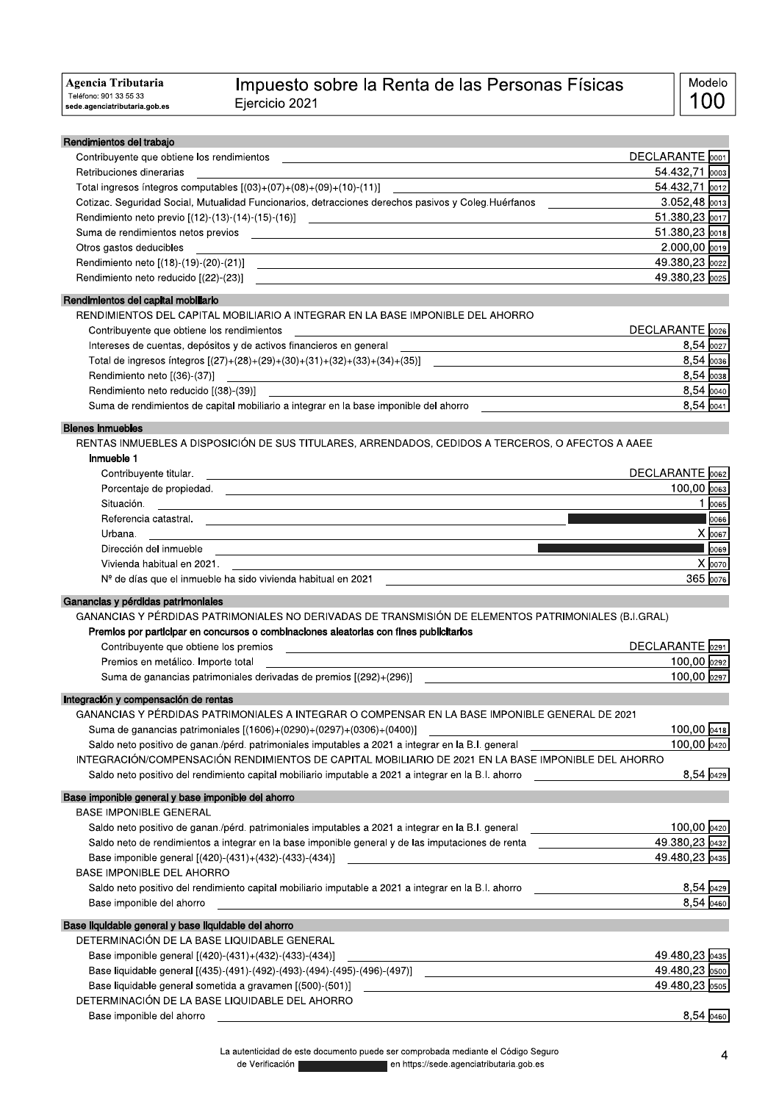| Agencia Tributaria                                      | Impuesto sobre la Renta de las Personas Físicas                                                                        | Modelo                    |
|---------------------------------------------------------|------------------------------------------------------------------------------------------------------------------------|---------------------------|
| Teléfono: 901 33 55 33<br>sede.agenciatributaria.gob.es | Ejercicio 2021                                                                                                         | 100                       |
| Rendimientos del trabajo                                |                                                                                                                        |                           |
| Contribuyente que obtiene los rendimientos              | <u> 1989 - Johann Stein, marking fan de Fryske kunstner oantal fan de Fryske kunstner oantal fan de Fryske kunstne</u> | DECLARANTE 0001           |
| Retribuciones dinerarias                                |                                                                                                                        | 54.432,71 0003            |
|                                                         | Total ingresos íntegros computables $[(03)+(07)+(08)+(09)+(10)-(11)]$                                                  | 54.432,71 0012            |
|                                                         | Cotizac. Seguridad Social, Mutualidad Funcionarios, detracciones derechos pasivos y Coleg. Huérfanos                   | 3.052,48 0013             |
|                                                         | Rendimiento neto previo [(12)-(13)-(14)-(15)-(16)]                                                                     | 51.380,23 0017            |
|                                                         | Suma de rendimientos netos previos expressiones en anticipales en antico de la construcción de la construcción         | 51.380,23 0018            |
| Otros gastos deducibles                                 | and the control of the control of the control of the control of the control of the control of the control of the       | $2.000,00$ $\boxed{0019}$ |
|                                                         |                                                                                                                        | 49.380,23 0022            |
|                                                         |                                                                                                                        | 49.380,23 0025            |
| Rendimientos del capital mobiliario                     |                                                                                                                        |                           |
|                                                         | RENDIMIENTOS DEL CAPITAL MOBILIARIO A INTEGRAR EN LA BASE IMPONIBLE DEL AHORRO                                         |                           |
| Contribuyente que obtiene los rendimientos              |                                                                                                                        | DECLARANTE 0026           |
|                                                         |                                                                                                                        | 8,54 0027                 |
|                                                         | Total de ingresos íntegros $[(27)+(28)+(30)+(31)+(31)+(32)+(33)+(34)+(35)]$                                            | $8,54$ 0036               |
| Rendimiento neto [(36)-(37)]                            | <u> 1989 - Johann Stoff, deutscher Stoffen und der Stoffen und der Stoffen und der Stoffen und der Stoffen und der</u> | $8,54$ 0038               |
| Rendimiento neto reducido [(38)-(39)]                   |                                                                                                                        | $8,54$ 0040               |
|                                                         | Suma de rendimientos de capital mobiliario a integrar en la base imponible del ahorro                                  | $8,54$ $\boxed{0041}$     |
| <b>Bienes inmuebles</b>                                 |                                                                                                                        |                           |
|                                                         | RENTAS INMUEBLES A DISPOSICIÓN DE SUS TITULARES, ARRENDADOS, CEDIDOS A TERCEROS, O AFECTOS A AAEE                      |                           |
| Inmueble 1                                              |                                                                                                                        |                           |
| Contribuyente titular.                                  | <u> 1989 - Johann Stoff, amerikansk politiker (d. 1989)</u>                                                            | DECLARANTE 0062           |
|                                                         |                                                                                                                        | $100,00$ $ 0063 $         |
| Situación.                                              |                                                                                                                        | 1 0065                    |
|                                                         |                                                                                                                        |                           |
| Urbana.                                                 |                                                                                                                        | X 0067                    |
| Dirección del inmueble                                  | <u> 1980 - Andrea Andrew Maria (h. 1980).</u>                                                                          | $\log$                    |
| Vivienda habitual en 2021.                              |                                                                                                                        | X 0070                    |
|                                                         | $No$ de días que el inmueble ha sido vivienda habitual en 2021                                                         | 365 0076                  |
| Ganancias y pérdidas patrimoniales                      | GANANCIAS Y PÉRDIDAS PATRIMONIALES NO DERIVADAS DE TRANSMISIÓN DE ELEMENTOS PATRIMONIALES (B.I.GRAL)                   |                           |
|                                                         | Premios por participar en concursos o combinaciones aleatorias con fines publicitarios                                 |                           |
| Contribuyente que obtiene los premios                   |                                                                                                                        | DECLARANTE 0291           |
| Premios en metálico. Importe total                      | the control of the control of the control of the control of the control of the control of                              | 100,00 0292               |
|                                                         | Suma de ganancias patrimoniales derivadas de premios [(292)+(296)]                                                     | 100,00 0297               |
| Integración y compensación de rentas                    |                                                                                                                        |                           |
|                                                         | GANANCIAS Y PÉRDIDAS PATRIMONIALES A INTEGRAR O COMPENSAR EN LA BASE IMPONIBLE GENERAL DE 2021                         |                           |
|                                                         | Suma de ganancias patrimoniales [(1606)+(0290)+(0297)+(0306)+(0400)]                                                   | 100,00 0418               |

| Saldo neto positivo de ganan./pérd. patrimoniales imputables a 2021 a integrar en la B.I. general    | 100,00 0420    |
|------------------------------------------------------------------------------------------------------|----------------|
| INTEGRACIÓN/COMPENSACIÓN RENDIMIENTOS DE CAPITAL MOBILIARIO DE 2021 EN LA BASE IMPONIBLE DEL AHORRO  |                |
| Saldo neto positivo del rendimiento capital mobiliario imputable a 2021 a integrar en la B.I. ahorro | 8.54 0429      |
| Base imponible general y base imponible del ahorro                                                   |                |
| <b>BASE IMPONIBLE GENERAL</b>                                                                        |                |
| Saldo neto positivo de ganan./pérd. patrimoniales imputables a 2021 a integrar en la B.I. general    | 100,00 0420    |
| Saldo neto de rendimientos a integrar en la base imponible general y de las imputaciones de renta    | 49.380.23 0432 |
| Base imponible general [(420)-(431)+(432)-(433)-(434)]                                               | 49.480,23 0435 |
| <b>BASE IMPONIBLE DEL AHORRO</b>                                                                     |                |
| Saldo neto positivo del rendimiento capital mobiliario imputable a 2021 a integrar en la B.I. ahorro | 8,54 0429      |
| Base imponible del ahorro                                                                            | 8.54 0460      |
| Base liquidable general y base liquidable del ahorro                                                 |                |
| DETERMINACIÓN DE LA BASE LIQUIDABLE GENERAL                                                          |                |
| Base imponible general [(420)-(431)+(432)-(433)-(434)]                                               | 49.480,23 0435 |
| Base liquidable general [(435)-(491)-(492)-(493)-(494)-(495)-(496)-(497)]                            | 49.480.23 0500 |
| Base liquidable general sometida a gravamen [(500)-(501)]                                            | 49.480.23 0505 |
| DETERMINACIÓN DE LA BASE LIQUIDABLE DEL AHORRO                                                       |                |
| Base imponible del ahorro                                                                            | 8.54  0460     |
|                                                                                                      |                |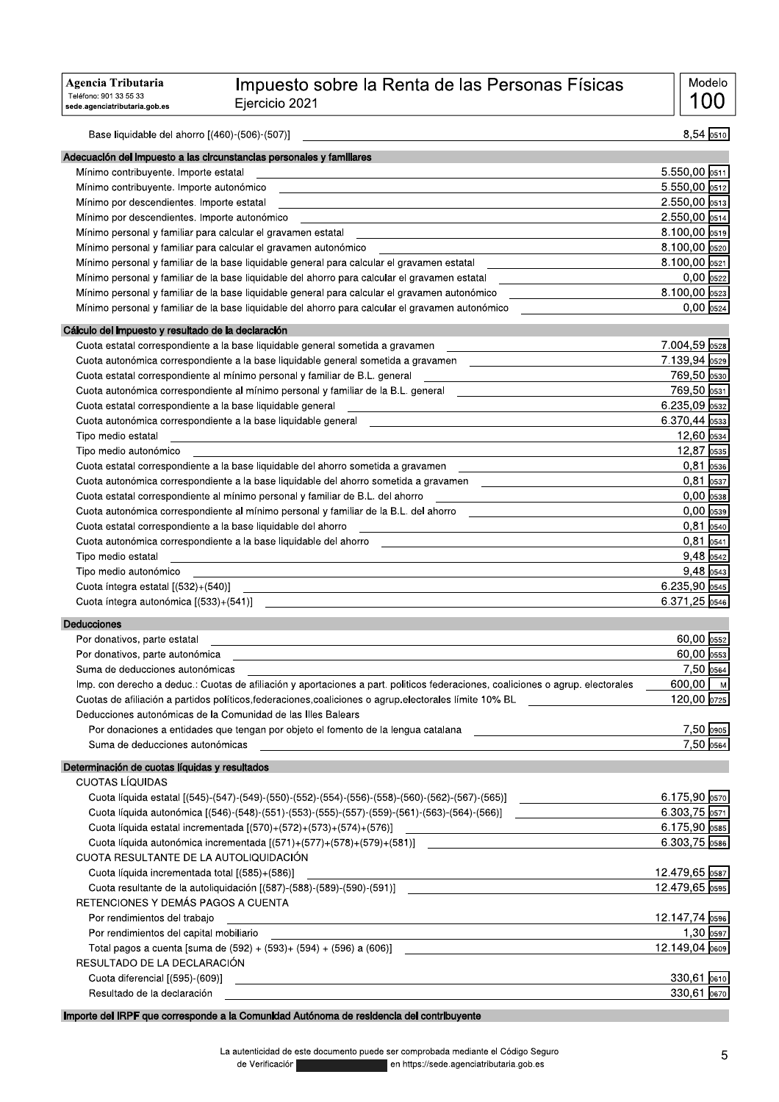## !"#\$%#&'\$%# (& )\*+,-.-/012.131-40-1-56-781- 9:08787;; -

| Agencia Tributaria<br>Teléfono: 901 33 55 33<br>sede.agenciatributaria.gob.es | Impuesto sobre la Renta de las Personas Físicas<br>Ejercicio 2021                                                                                                                                 |                                  | Modelo<br>-00              |
|-------------------------------------------------------------------------------|---------------------------------------------------------------------------------------------------------------------------------------------------------------------------------------------------|----------------------------------|----------------------------|
| Base liquidable del ahorro [(460)-(506)-(507)]                                |                                                                                                                                                                                                   |                                  | $8,54$ 0510                |
|                                                                               | Adecuación del impuesto a las circunstancias personales y familiares                                                                                                                              |                                  |                            |
| Mínimo contribuyente. Importe estatal                                         |                                                                                                                                                                                                   | $5.550,00$ 0511                  |                            |
| Mínimo contribuyente. Importe autonómico                                      |                                                                                                                                                                                                   | 5.550,00 0512                    |                            |
| Mínimo por descendientes. Importe estatal                                     |                                                                                                                                                                                                   | 2.550,00 0513                    |                            |
| Mínimo por descendientes. Importe autonómico                                  |                                                                                                                                                                                                   | $2.550,00$ 0514                  |                            |
| Mínimo personal y familiar para calcular el gravamen estatal                  |                                                                                                                                                                                                   | $8.100,00$ 0519                  |                            |
|                                                                               | Mínimo personal y familiar para calcular el gravamen autonómico                                                                                                                                   | 8.100,00 0520                    |                            |
|                                                                               | Mínimo personal y familiar de la base liquidable general para calcular el gravamen estatal                                                                                                        | 8.100,00 0521                    |                            |
|                                                                               | Mínimo personal y familiar de la base liquidable del ahorro para calcular el gravamen estatal                                                                                                     |                                  | $0,00$ 0522                |
|                                                                               | Mínimo personal y familiar de la base liquidable general para calcular el gravamen autonómico<br>Mínimo personal y familiar de la base liquidable del ahorro para calcular el gravamen autonómico | 8.100,00 0523                    | $0,00$ $0524$              |
| Cálculo del impuesto y resultado de la declaración                            |                                                                                                                                                                                                   |                                  |                            |
|                                                                               | Cuota estatal correspondiente a la base liquidable general sometida a gravamen                                                                                                                    | 7.004,59 0528                    |                            |
|                                                                               | Cuota autonómica correspondiente a la base liquidable general sometida a gravamen                                                                                                                 | 7.139,94 0529                    |                            |
|                                                                               | Cuota estatal correspondiente al mínimo personal y familiar de B.L. general                                                                                                                       | 769,50 0530                      |                            |
|                                                                               | Cuota autonómica correspondiente al mínimo personal y familiar de la B.L. general                                                                                                                 | 769,50 0531                      |                            |
| Cuota estatal correspondiente a la base liquidable general                    |                                                                                                                                                                                                   | $6.235,09$ 0532                  |                            |
|                                                                               | Cuota autonómica correspondiente a la base liquidable general [1989] [1989] [1989] [1989] [1989] [1989] [1989]                                                                                    | $6.370,44$ 0533                  |                            |
| Tipo medio estatal                                                            |                                                                                                                                                                                                   |                                  | $12,60$ 0534               |
| Tipo medio autonómico                                                         |                                                                                                                                                                                                   |                                  | 12,87 0535                 |
|                                                                               | Cuota estatal correspondiente a la base liquidable del ahorro sometida a gravamen                                                                                                                 |                                  | $0.81$ 0536                |
|                                                                               | Cuota autonómica correspondiente a la base liquidable del ahorro sometida a gravamen                                                                                                              |                                  | $0,81$ 0537                |
|                                                                               | Cuota estatal correspondiente al mínimo personal y familiar de B.L. del ahorro                                                                                                                    |                                  | $0,00$ 0538                |
|                                                                               | Cuota autonómica correspondiente al mínimo personal y familiar de la B.L. del ahorro                                                                                                              |                                  | $0,00$ 0539<br>$0,81$ 0540 |
| Cuota estatal correspondiente a la base liquidable del ahorro                 | Cuota autonómica correspondiente a la base liquidable del ahorro                                                                                                                                  |                                  | $0,81$ 0541                |
| Tipo medio estatal                                                            |                                                                                                                                                                                                   |                                  | $9,48$ 0542                |
| Tipo medio autonómico                                                         | <u> 1989 - Johann Stein, marwolaethau a bhann an t-Amhainn an t-Amhainn an t-Amhainn an t-Amhainn an t-Amhainn a</u>                                                                              |                                  | $9,48$ 0543                |
| Cuota íntegra estatal [(532)+(540)]                                           |                                                                                                                                                                                                   | 6.235,90 0545                    |                            |
| Cuota íntegra autonómica [(533)+(541)]                                        |                                                                                                                                                                                                   | 6.371,25 0546                    |                            |
| Deducciones                                                                   |                                                                                                                                                                                                   |                                  |                            |
| Por donativos, parte estatal                                                  |                                                                                                                                                                                                   |                                  | 60,00 0552                 |
| Por donativos, parte autonómica                                               |                                                                                                                                                                                                   |                                  | 60,00 0553                 |
| Suma de deducciones autonómicas                                               |                                                                                                                                                                                                   |                                  | 7,50 0564                  |
|                                                                               | Imp. con derecho a deduc.: Cuotas de afiliación y aportaciones a part. politicos federaciones, coaliciones o agrup. electorales                                                                   | 600,00 $\sqrt{M}$                |                            |
|                                                                               | Cuotas de afiliación a partidos políticos, federaciones, coaliciones o agrup electorales límite 10% BL                                                                                            | 120,00 0725                      |                            |
|                                                                               | Deducciones autonómicas de la Comunidad de las Illes Balears                                                                                                                                      |                                  |                            |
| Suma de deducciones autonómicas                                               | Por donaciones a entidades que tengan por objeto el fomento de la lengua catalana                                                                                                                 |                                  | 7,50 0905<br>7,50 0564     |
|                                                                               |                                                                                                                                                                                                   |                                  |                            |
|                                                                               |                                                                                                                                                                                                   |                                  |                            |
| Determinación de cuotas líquidas y resultados                                 |                                                                                                                                                                                                   |                                  |                            |
| <b>CUOTAS LÍQUIDAS</b>                                                        |                                                                                                                                                                                                   |                                  |                            |
|                                                                               | Cuota líquida estatal [(545)-(547)-(549)-(550)-(552)-(554)-(556)-(558)-(560)-(562)-(567)-(565)]                                                                                                   | 6.175,90 0570                    |                            |
|                                                                               | Cuota líquida autonómica [(546)-(548)-(551)-(553)-(555)-(557)-(559)-(561)-(563)-(564)-(566)] _______                                                                                              | $6.303,75$ 0571<br>6.175,90 0585 |                            |
|                                                                               | Cuota líquida autonómica incrementada [(571)+(577)+(578)+(579)+(581)]                                                                                                                             | 6.303,75 0586                    |                            |
| CUOTA RESULTANTE DE LA AUTOLIQUIDACIÓN                                        |                                                                                                                                                                                                   |                                  |                            |
| Cuota líquida incrementada total [(585)+(586)]                                |                                                                                                                                                                                                   | 12.479,65 0587                   |                            |
|                                                                               | Cuota resultante de la autoliquidación [(587)-(588)-(589)-(590)-(591)]                                                                                                                            | 12.479,65 0595                   |                            |
| RETENCIONES Y DEMÁS PAGOS A CUENTA                                            |                                                                                                                                                                                                   |                                  |                            |
| Por rendimientos del trabajo                                                  | <u> 1989 - Johann Stoff, amerikansk politiker (d. 1989)</u>                                                                                                                                       | 12.147,74 0596                   |                            |
| Por rendimientos del capital mobiliario                                       | Total pagos a cuenta [suma de (592) + (593)+ (594) + (596) a (606)]                                                                                                                               | 12.149,04 0609                   | $1,30$ 0597                |

Importe del IRPF que corresponde a la Comunidad Autónoma de residencia del contribuyente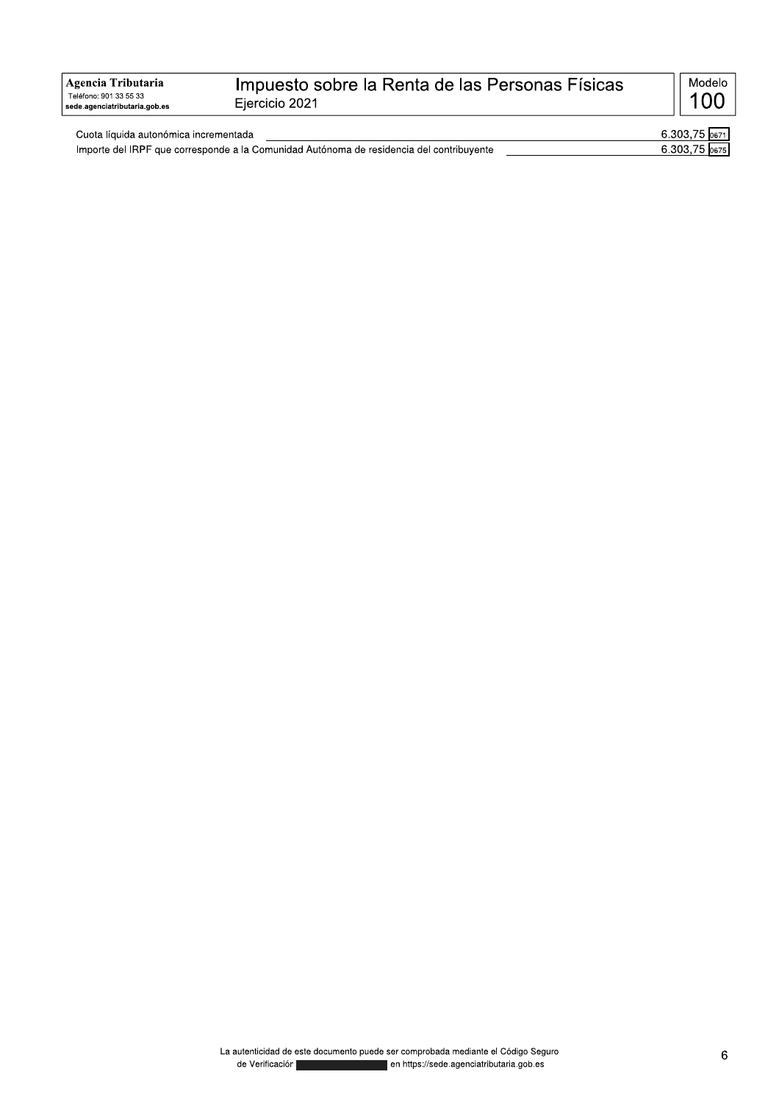| Agencia Tributaria<br>Teléfono: 901 33 55 33<br>sede.agenciatributaria.gob.es | Impuesto sobre la Renta de las Personas Físicas<br>Eiercicio 2021 | Modelo |
|-------------------------------------------------------------------------------|-------------------------------------------------------------------|--------|
|-------------------------------------------------------------------------------|-------------------------------------------------------------------|--------|

| Cuota líquida autonómica incrementada |                                                                                          | 6.303.   |
|---------------------------------------|------------------------------------------------------------------------------------------|----------|
|                                       | Importe del IRPF que corresponde a la Comunidad Autónoma de residencia del contribuvente | 303.75.ر |